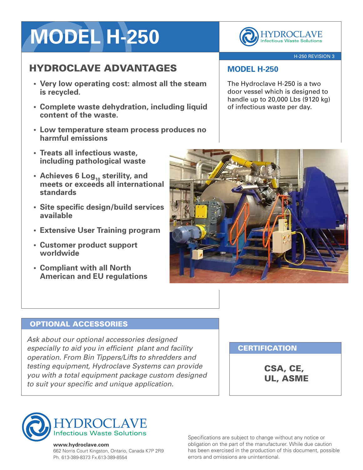# **MODEL H-250**

## HYDROCLAVE ADVANTAGES

- **• Very low operating cost: almost all the steam is recycled.**
- **• Complete waste dehydration, including liquid content of the waste.**
- **• Low temperature steam process produces no harmful emissions**
- **• Treats all infectious waste, including pathological waste**
- **• Achieves 6 Log<sup>10</sup> sterility, and meets or exceeds all international standards**
- **• Site specific design/build services available**
- **• Extensive User Training program**
- **• Customer product support worldwide**
- **• Compliant with all North American and EU regulations**



### H-250 REVISION 3

## **MODEL H-250**

The Hydroclave H-250 is a two door vessel which is designed to handle up to 20,000 Lbs (9120 kg) of infectious waste per day.



### OPTIONAL ACCESSORIES

*Ask about our optional accessories designed especially to aid you in efficient plant and facility operation. From Bin Tippers/Lifts to shredders and testing equipment, Hydroclave Systems can provide you with a total equipment package custom designed to suit your specific and unique application.*

## **CERTIFICATION**

CSA, CE, UL, ASME



#### **www.hydroclave.com**

662 Norris Court Kingston, Ontario, Canada K7P 2R9 Ph. 613-389-8373 Fx.613-389-8554

Specifications are subject to change without any notice or obligation on the part of the manufacturer. While due caution has been exercised in the production of this document, possible errors and omissions are unintentional.